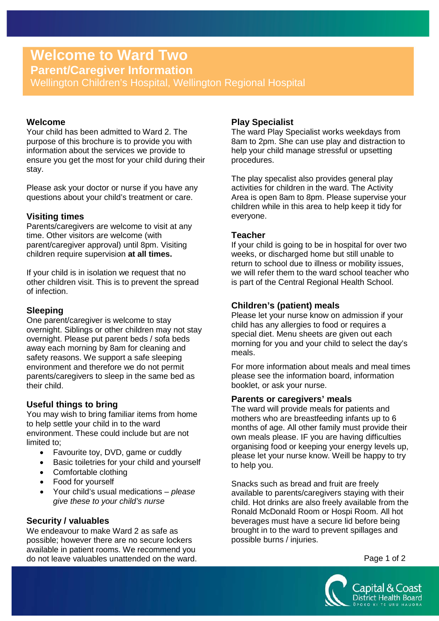# **Welcome to Ward Two**

**Parent/Caregiver Information**

Wellington Children's Hospital, Wellington Regional Hospital

## **Welcome**

Your child has been admitted to Ward 2. The purpose of this brochure is to provide you with information about the services we provide to ensure you get the most for your child during their stay.

Please ask your doctor or nurse if you have any questions about your child's treatment or care.

## **Visiting times**

Parents/caregivers are welcome to visit at any time. Other visitors are welcome (with parent/caregiver approval) until 8pm. Visiting children require supervision **at all times.**

If your child is in isolation we request that no other children visit. This is to prevent the spread of infection.

## **Sleeping**

One parent/caregiver is welcome to stay overnight. Siblings or other children may not stay overnight. Please put parent beds / sofa beds away each morning by 8am for cleaning and safety reasons. We support a safe sleeping environment and therefore we do not permit parents/caregivers to sleep in the same bed as their child.

## **Useful things to bring**

You may wish to bring familiar items from home to help settle your child in to the ward environment. These could include but are not limited to;

- Favourite toy, DVD, game or cuddly
- Basic toiletries for your child and yourself
- Comfortable clothing
- Food for yourself
- Your child's usual medications *please give these to your child's nurse*

## **Security / valuables**

We endeavour to make Ward 2 as safe as possible; however there are no secure lockers available in patient rooms. We recommend you do not leave valuables unattended on the ward.

## **Play Specialist**

The ward Play Specialist works weekdays from 8am to 2pm. She can use play and distraction to help your child manage stressful or upsetting procedures.

The play specalist also provides general play activities for children in the ward. The Activity Area is open 8am to 8pm. Please supervise your children while in this area to help keep it tidy for everyone.

## **Teacher**

If your child is going to be in hospital for over two weeks, or discharged home but still unable to return to school due to illness or mobility issues, we will refer them to the ward school teacher who is part of the Central Regional Health School.

# **Children's (patient) meals**

Please let your nurse know on admission if your child has any allergies to food or requires a special diet. Menu sheets are given out each morning for you and your child to select the day's meals.

For more information about meals and meal times please see the information board, information booklet, or ask your nurse.

## **Parents or caregivers' meals**

The ward will provide meals for patients and mothers who are breastfeeding infants up to 6 months of age. All other family must provide their own meals please. IF you are having difficulties organising food or keeping your energy levels up, please let your nurse know. Weill be happy to try to help you.

Snacks such as bread and fruit are freely available to parents/caregivers staying with their child. Hot drinks are also freely available from the Ronald McDonald Room or Hospi Room. All hot beverages must have a secure lid before being brought in to the ward to prevent spillages and possible burns / injuries.